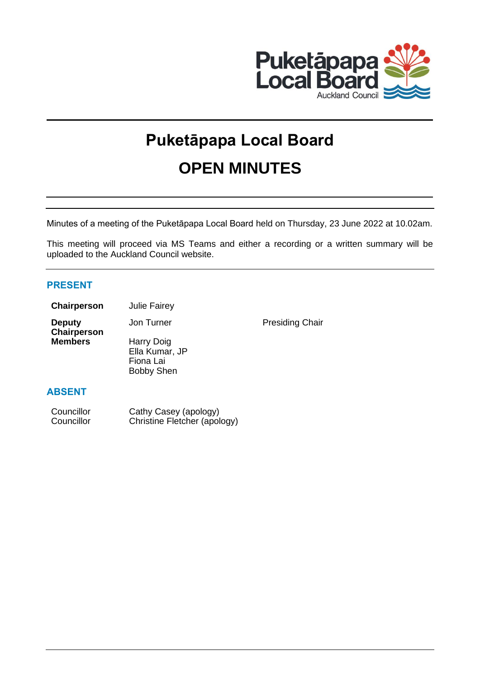

# **Puketāpapa Local Board OPEN MINUTES**

Minutes of a meeting of the Puketāpapa Local Board held on Thursday, 23 June 2022 at 10.02am.

This meeting will proceed via MS Teams and either a recording or a written summary will be uploaded to the Auckland Council website.

# **PRESENT**

| Chairperson | <b>Julie Fairey</b> |
|-------------|---------------------|
|-------------|---------------------|

**Deputy**  Chairperson<br>Members

**Harry Doig** Ella Kumar, JP Fiona Lai Bobby Shen

Jon Turner **Presiding Chair** 

# **ABSENT**

| Councillor | Cathy Casey (apology)        |
|------------|------------------------------|
| Councillor | Christine Fletcher (apology) |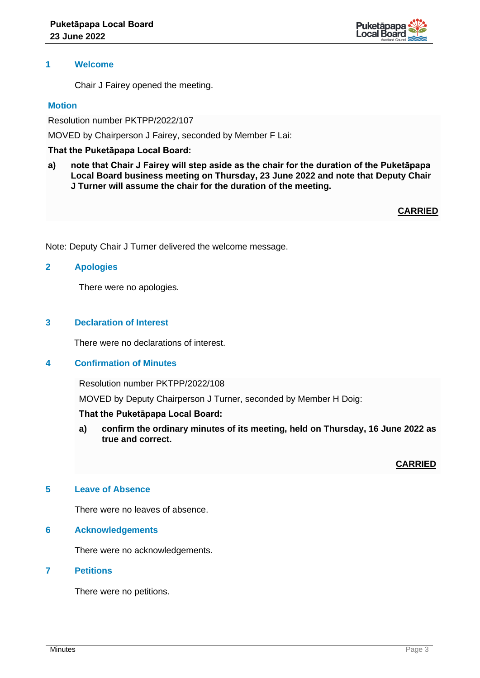

## **1 Welcome**

Chair J Fairey opened the meeting.

### **Motion**

Resolution number PKTPP/2022/107

MOVED by Chairperson J Fairey, seconded by Member F Lai:

## **That the Puketāpapa Local Board:**

**a) note that Chair J Fairey will step aside as the chair for the duration of the Puketāpapa Local Board business meeting on Thursday, 23 June 2022 and note that Deputy Chair J Turner will assume the chair for the duration of the meeting.**

**CARRIED**

Note: Deputy Chair J Turner delivered the welcome message.

## **2 Apologies**

There were no apologies.

# **3 Declaration of Interest**

There were no declarations of interest.

#### **4 Confirmation of Minutes**

Resolution number PKTPP/2022/108

MOVED by Deputy Chairperson J Turner, seconded by Member H Doig:

## **That the Puketāpapa Local Board:**

**a) confirm the ordinary minutes of its meeting, held on Thursday, 16 June 2022 as true and correct.**

## **CARRIED**

## **5 Leave of Absence**

There were no leaves of absence.

#### **6 Acknowledgements**

There were no acknowledgements.

## **7 Petitions**

There were no petitions.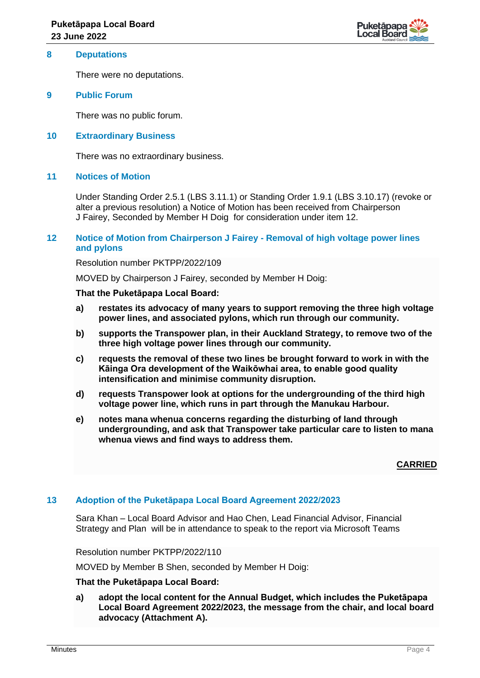

#### **8 Deputations**

There were no deputations.

#### **9 Public Forum**

There was no public forum.

### **10 Extraordinary Business**

There was no extraordinary business.

### **11 Notices of Motion**

Under Standing Order 2.5.1 (LBS 3.11.1) or Standing Order 1.9.1 (LBS 3.10.17) (revoke or alter a previous resolution) a Notice of Motion has been received from Chairperson J Fairey, Seconded by Member H Doig for consideration under item 12.

### **12 Notice of Motion from Chairperson J Fairey - Removal of high voltage power lines and pylons**

Resolution number PKTPP/2022/109

MOVED by Chairperson J Fairey, seconded by Member H Doig:

#### **That the Puketāpapa Local Board:**

- **a) restates its advocacy of many years to support removing the three high voltage power lines, and associated pylons, which run through our community.**
- **b) supports the Transpower plan, in their Auckland Strategy, to remove two of the three high voltage power lines through our community.**
- **c) requests the removal of these two lines be brought forward to work in with the Kāinga Ora development of the Waikōwhai area, to enable good quality intensification and minimise community disruption.**
- **d) requests Transpower look at options for the undergrounding of the third high voltage power line, which runs in part through the Manukau Harbour.**
- **e) notes mana whenua concerns regarding the disturbing of land through undergrounding, and ask that Transpower take particular care to listen to mana whenua views and find ways to address them.**

**CARRIED**

## **13 Adoption of the Puketāpapa Local Board Agreement 2022/2023**

Sara Khan – Local Board Advisor and Hao Chen, Lead Financial Advisor, Financial Strategy and Plan will be in attendance to speak to the report via Microsoft Teams

Resolution number PKTPP/2022/110

MOVED by Member B Shen, seconded by Member H Doig:

## **That the Puketāpapa Local Board:**

**a) adopt the local content for the Annual Budget, which includes the Puketāpapa Local Board Agreement 2022/2023, the message from the chair, and local board advocacy (Attachment A).**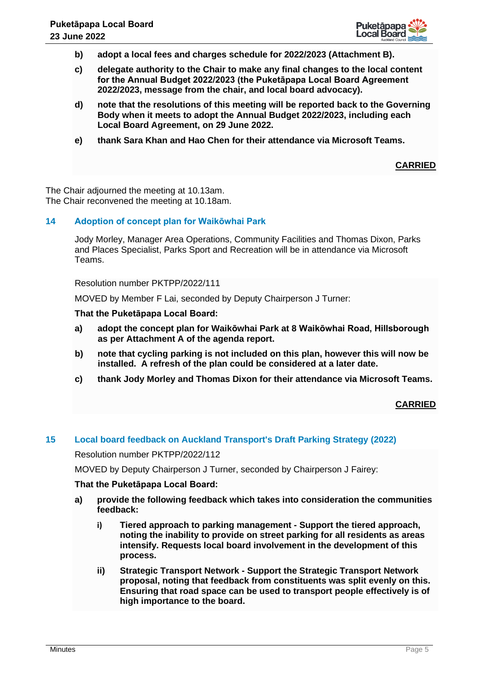

- **b) adopt a local fees and charges schedule for 2022/2023 (Attachment B).**
- **c) delegate authority to the Chair to make any final changes to the local content for the Annual Budget 2022/2023 (the Puketāpapa Local Board Agreement 2022/2023, message from the chair, and local board advocacy).**
- **d) note that the resolutions of this meeting will be reported back to the Governing Body when it meets to adopt the Annual Budget 2022/2023, including each Local Board Agreement, on 29 June 2022.**
- **e) thank Sara Khan and Hao Chen for their attendance via Microsoft Teams.**

**CARRIED**

The Chair adjourned the meeting at 10.13am. The Chair reconvened the meeting at 10.18am.

# **14 Adoption of concept plan for Waikōwhai Park**

Jody Morley, Manager Area Operations, Community Facilities and Thomas Dixon, Parks and Places Specialist, Parks Sport and Recreation will be in attendance via Microsoft Teams.

Resolution number PKTPP/2022/111

MOVED by Member F Lai, seconded by Deputy Chairperson J Turner:

**That the Puketāpapa Local Board:**

- **a) adopt the concept plan for Waikōwhai Park at 8 Waikōwhai Road, Hillsborough as per Attachment A of the agenda report.**
- **b) note that cycling parking is not included on this plan, however this will now be installed. A refresh of the plan could be considered at a later date.**
- **c) thank Jody Morley and Thomas Dixon for their attendance via Microsoft Teams.**

## **CARRIED**

#### **15 Local board feedback on Auckland Transport's Draft Parking Strategy (2022)**

Resolution number PKTPP/2022/112

MOVED by Deputy Chairperson J Turner, seconded by Chairperson J Fairey:

#### **That the Puketāpapa Local Board:**

- **a) provide the following feedback which takes into consideration the communities feedback:**
	- **i) Tiered approach to parking management - Support the tiered approach, noting the inability to provide on street parking for all residents as areas intensify. Requests local board involvement in the development of this process.**
	- **ii) Strategic Transport Network - Support the Strategic Transport Network proposal, noting that feedback from constituents was split evenly on this. Ensuring that road space can be used to transport people effectively is of high importance to the board.**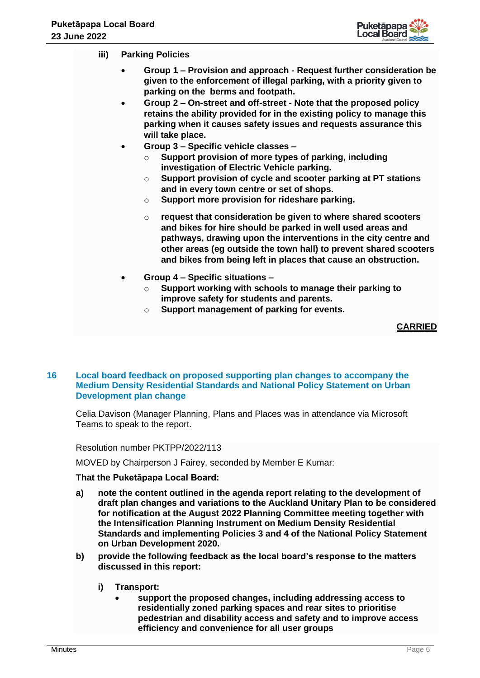

- **iii) Parking Policies**
	- **Group 1 – Provision and approach - Request further consideration be given to the enforcement of illegal parking, with a priority given to parking on the berms and footpath.**
	- **Group 2 – On-street and off-street - Note that the proposed policy retains the ability provided for in the existing policy to manage this parking when it causes safety issues and requests assurance this will take place.**
	- **Group 3 – Specific vehicle classes –**
		- o **Support provision of more types of parking, including investigation of Electric Vehicle parking.**
		- o **Support provision of cycle and scooter parking at PT stations and in every town centre or set of shops.**
		- o **Support more provision for rideshare parking.**
		- o **request that consideration be given to where shared scooters and bikes for hire should be parked in well used areas and pathways, drawing upon the interventions in the city centre and other areas (eg outside the town hall) to prevent shared scooters and bikes from being left in places that cause an obstruction.**
	- **Group 4 – Specific situations –**
		- o **Support working with schools to manage their parking to improve safety for students and parents.**
		- o **Support management of parking for events.**

**CARRIED**

#### **16 Local board feedback on proposed supporting plan changes to accompany the Medium Density Residential Standards and National Policy Statement on Urban Development plan change**

Celia Davison (Manager Planning, Plans and Places was in attendance via Microsoft Teams to speak to the report.

Resolution number PKTPP/2022/113

MOVED by Chairperson J Fairey, seconded by Member E Kumar:

#### **That the Puketāpapa Local Board:**

- **a) note the content outlined in the agenda report relating to the development of draft plan changes and variations to the Auckland Unitary Plan to be considered for notification at the August 2022 Planning Committee meeting together with the Intensification Planning Instrument on Medium Density Residential Standards and implementing Policies 3 and 4 of the National Policy Statement on Urban Development 2020.**
- **b) provide the following feedback as the local board's response to the matters discussed in this report:**
	- **i) Transport:**
		- **support the proposed changes, including addressing access to residentially zoned parking spaces and rear sites to prioritise pedestrian and disability access and safety and to improve access efficiency and convenience for all user groups**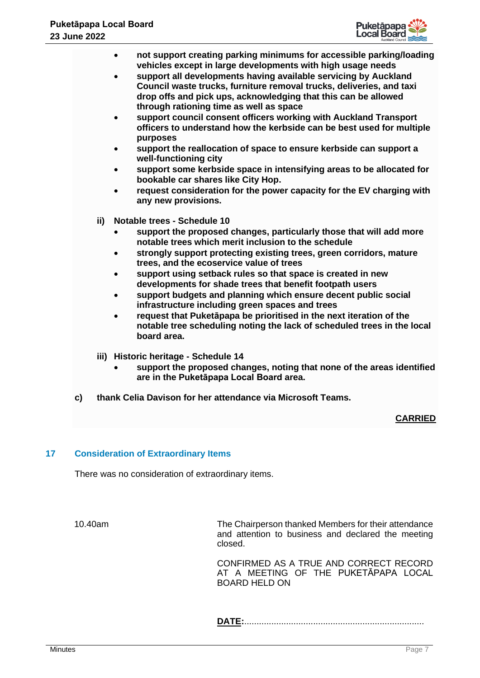

- **not support creating parking minimums for accessible parking/loading vehicles except in large developments with high usage needs**
- **support all developments having available servicing by Auckland Council waste trucks, furniture removal trucks, deliveries, and taxi drop offs and pick ups, acknowledging that this can be allowed through rationing time as well as space**
- **support council consent officers working with Auckland Transport officers to understand how the kerbside can be best used for multiple purposes**
- **support the reallocation of space to ensure kerbside can support a well-functioning city**
- **support some kerbside space in intensifying areas to be allocated for bookable car shares like City Hop.**
- **request consideration for the power capacity for the EV charging with any new provisions.**
- **ii) Notable trees - Schedule 10**
	- **support the proposed changes, particularly those that will add more notable trees which merit inclusion to the schedule**
	- **strongly support protecting existing trees, green corridors, mature trees, and the ecoservice value of trees**
	- **support using setback rules so that space is created in new developments for shade trees that benefit footpath users**
	- **support budgets and planning which ensure decent public social infrastructure including green spaces and trees**
	- **request that Puketāpapa be prioritised in the next iteration of the notable tree scheduling noting the lack of scheduled trees in the local board area.**
- **iii) Historic heritage - Schedule 14**
	- **support the proposed changes, noting that none of the areas identified are in the Puketāpapa Local Board area.**
- **c) thank Celia Davison for her attendance via Microsoft Teams.**

## **CARRIED**

## **17 Consideration of Extraordinary Items**

There was no consideration of extraordinary items.

10.40am The Chairperson thanked Members for their attendance and attention to business and declared the meeting closed.

> CONFIRMED AS A TRUE AND CORRECT RECORD AT A MEETING OF THE PUKETĀPAPA LOCAL BOARD HELD ON

**DATE:**.........................................................................